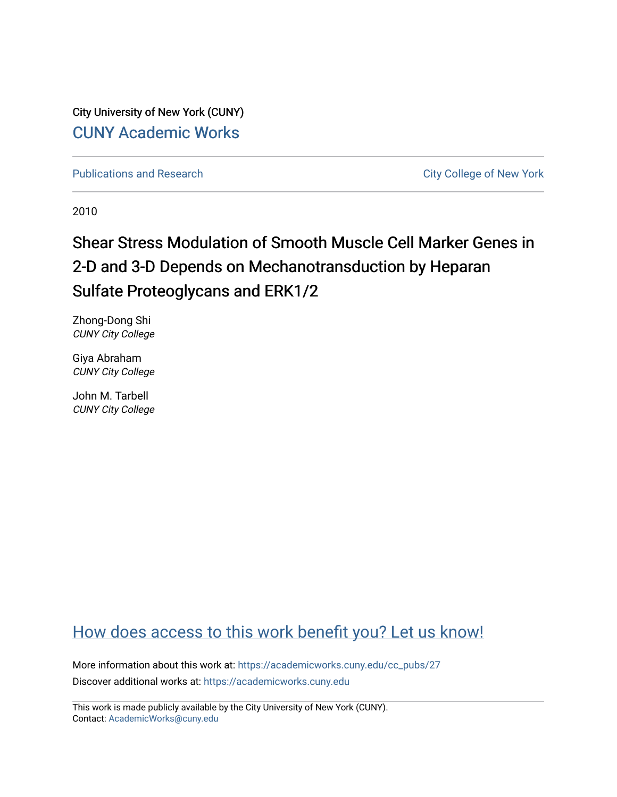City University of New York (CUNY) [CUNY Academic Works](https://academicworks.cuny.edu/) 

[Publications and Research](https://academicworks.cuny.edu/cc_pubs) **City College of New York** Publications and Research

2010

# Shear Stress Modulation of Smooth Muscle Cell Marker Genes in 2-D and 3-D Depends on Mechanotransduction by Heparan Sulfate Proteoglycans and ERK1/2

Zhong-Dong Shi CUNY City College

Giya Abraham CUNY City College

John M. Tarbell CUNY City College

# [How does access to this work benefit you? Let us know!](http://ols.cuny.edu/academicworks/?ref=https://academicworks.cuny.edu/cc_pubs/27)

More information about this work at: [https://academicworks.cuny.edu/cc\\_pubs/27](https://academicworks.cuny.edu/cc_pubs/27) Discover additional works at: [https://academicworks.cuny.edu](https://academicworks.cuny.edu/?)

This work is made publicly available by the City University of New York (CUNY). Contact: [AcademicWorks@cuny.edu](mailto:AcademicWorks@cuny.edu)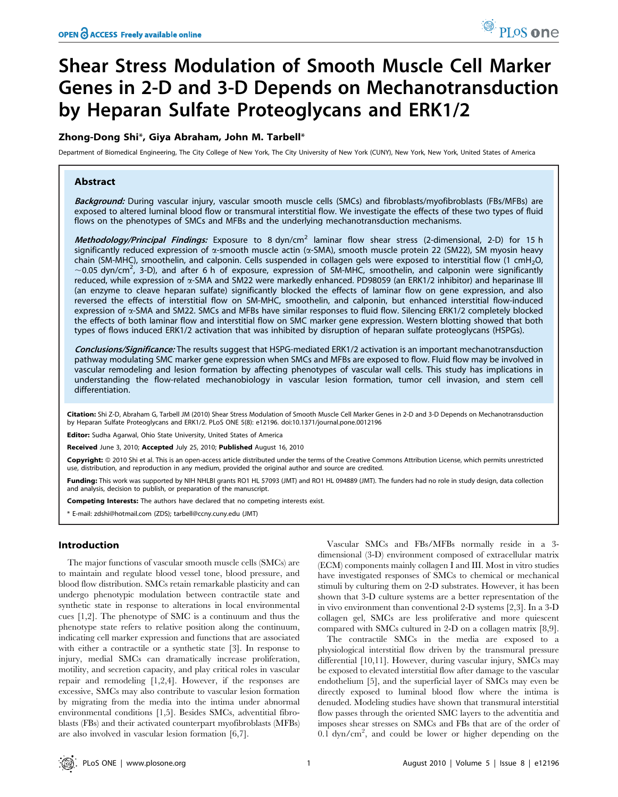# Shear Stress Modulation of Smooth Muscle Cell Marker Genes in 2-D and 3-D Depends on Mechanotransduction by Heparan Sulfate Proteoglycans and ERK1/2

# Zhong-Dong Shi\*, Giya Abraham, John M. Tarbell\*

Department of Biomedical Engineering, The City College of New York, The City University of New York (CUNY), New York, New York, United States of America

### Abstract

Background: During vascular injury, vascular smooth muscle cells (SMCs) and fibroblasts/myofibroblasts (FBs/MFBs) are exposed to altered luminal blood flow or transmural interstitial flow. We investigate the effects of these two types of fluid flows on the phenotypes of SMCs and MFBs and the underlying mechanotransduction mechanisms.

Methodology/Principal Findings: Exposure to 8 dyn/cm<sup>2</sup> laminar flow shear stress (2-dimensional, 2-D) for 15 h significantly reduced expression of  $\alpha$ -smooth muscle actin ( $\alpha$ -SMA), smooth muscle protein 22 (SM22), SM myosin heavy chain (SM-MHC), smoothelin, and calponin. Cells suspended in collagen gels were exposed to interstitial flow (1 cmH2O,  $\sim$ 0.05 dyn/cm<sup>2</sup>, 3-D), and after 6 h of exposure, expression of SM-MHC, smoothelin, and calponin were significantly reduced, while expression of a-SMA and SM22 were markedly enhanced. PD98059 (an ERK1/2 inhibitor) and heparinase III (an enzyme to cleave heparan sulfate) significantly blocked the effects of laminar flow on gene expression, and also reversed the effects of interstitial flow on SM-MHC, smoothelin, and calponin, but enhanced interstitial flow-induced expression of  $\alpha$ -SMA and SM22. SMCs and MFBs have similar responses to fluid flow. Silencing ERK1/2 completely blocked the effects of both laminar flow and interstitial flow on SMC marker gene expression. Western blotting showed that both types of flows induced ERK1/2 activation that was inhibited by disruption of heparan sulfate proteoglycans (HSPGs).

Conclusions/Significance: The results suggest that HSPG-mediated ERK1/2 activation is an important mechanotransduction pathway modulating SMC marker gene expression when SMCs and MFBs are exposed to flow. Fluid flow may be involved in vascular remodeling and lesion formation by affecting phenotypes of vascular wall cells. This study has implications in understanding the flow-related mechanobiology in vascular lesion formation, tumor cell invasion, and stem cell differentiation.

Citation: Shi Z-D, Abraham G, Tarbell JM (2010) Shear Stress Modulation of Smooth Muscle Cell Marker Genes in 2-D and 3-D Depends on Mechanotransduction by Heparan Sulfate Proteoglycans and ERK1/2. PLoS ONE 5(8): e12196. doi:10.1371/journal.pone.0012196

Editor: Sudha Agarwal, Ohio State University, United States of America

Received June 3, 2010; Accepted July 25, 2010; Published August 16, 2010

Copyright: © 2010 Shi et al. This is an open-access article distributed under the terms of the Creative Commons Attribution License, which permits unrestricted use, distribution, and reproduction in any medium, provided the original author and source are credited.

Funding: This work was supported by NIH NHLBI grants RO1 HL 57093 (JMT) and RO1 HL 094889 (JMT). The funders had no role in study design, data collection and analysis, decision to publish, or preparation of the manuscript.

Competing Interests: The authors have declared that no competing interests exist.

\* E-mail: zdshi@hotmail.com (ZDS); tarbell@ccny.cuny.edu (JMT)

#### Introduction

The major functions of vascular smooth muscle cells (SMCs) are to maintain and regulate blood vessel tone, blood pressure, and blood flow distribution. SMCs retain remarkable plasticity and can undergo phenotypic modulation between contractile state and synthetic state in response to alterations in local environmental cues [1,2]. The phenotype of SMC is a continuum and thus the phenotype state refers to relative position along the continuum, indicating cell marker expression and functions that are associated with either a contractile or a synthetic state [3]. In response to injury, medial SMCs can dramatically increase proliferation, motility, and secretion capacity, and play critical roles in vascular repair and remodeling [1,2,4]. However, if the responses are excessive, SMCs may also contribute to vascular lesion formation by migrating from the media into the intima under abnormal environmental conditions [1,5]. Besides SMCs, adventitial fibroblasts (FBs) and their activated counterpart myofibroblasts (MFBs) are also involved in vascular lesion formation [6,7].

Vascular SMCs and FBs/MFBs normally reside in a 3 dimensional (3-D) environment composed of extracellular matrix (ECM) components mainly collagen I and III. Most in vitro studies have investigated responses of SMCs to chemical or mechanical stimuli by culturing them on 2-D substrates. However, it has been shown that 3-D culture systems are a better representation of the in vivo environment than conventional 2-D systems [2,3]. In a 3-D collagen gel, SMCs are less proliferative and more quiescent compared with SMCs cultured in 2-D on a collagen matrix [8,9].

The contractile SMCs in the media are exposed to a physiological interstitial flow driven by the transmural pressure differential [10,11]. However, during vascular injury, SMCs may be exposed to elevated interstitial flow after damage to the vascular endothelium [5], and the superficial layer of SMCs may even be directly exposed to luminal blood flow where the intima is denuded. Modeling studies have shown that transmural interstitial flow passes through the oriented SMC layers to the adventitia and imposes shear stresses on SMCs and FBs that are of the order of  $0.\overline{1}$  dyn/cm<sup>2</sup>, and could be lower or higher depending on the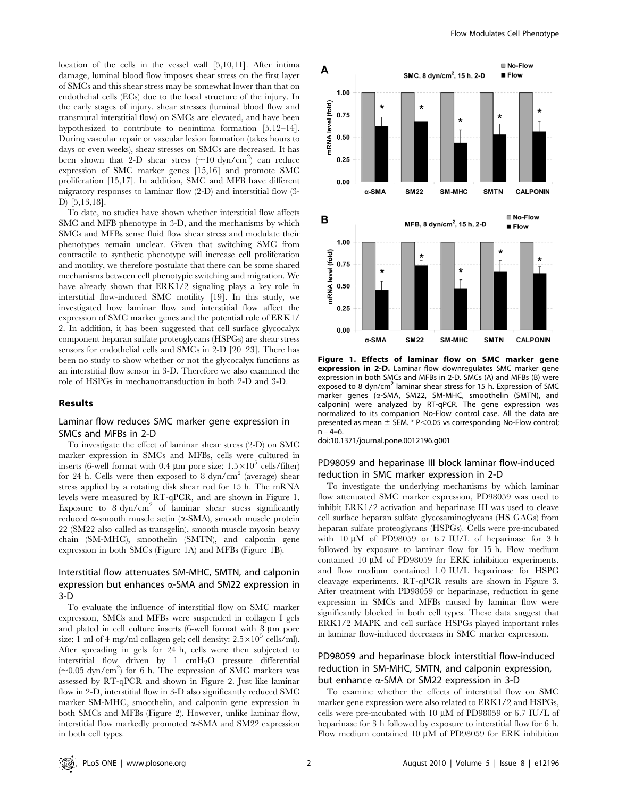location of the cells in the vessel wall [5,10,11]. After intima damage, luminal blood flow imposes shear stress on the first layer of SMCs and this shear stress may be somewhat lower than that on endothelial cells (ECs) due to the local structure of the injury. In the early stages of injury, shear stresses (luminal blood flow and transmural interstitial flow) on SMCs are elevated, and have been hypothesized to contribute to neointima formation [5,12–14]. During vascular repair or vascular lesion formation (takes hours to days or even weeks), shear stresses on SMCs are decreased. It has been shown that 2-D shear stress ( $\sim$ 10 dyn/cm<sup>2</sup>) can reduce expression of SMC marker genes [15,16] and promote SMC proliferation [15,17]. In addition, SMC and MFB have different migratory responses to laminar flow (2-D) and interstitial flow (3- D) [5,13,18].

To date, no studies have shown whether interstitial flow affects SMC and MFB phenotype in 3-D, and the mechanisms by which SMCs and MFBs sense fluid flow shear stress and modulate their phenotypes remain unclear. Given that switching SMC from contractile to synthetic phenotype will increase cell proliferation and motility, we therefore postulate that there can be some shared mechanisms between cell phenotypic switching and migration. We have already shown that ERK1/2 signaling plays a key role in interstitial flow-induced SMC motility [19]. In this study, we investigated how laminar flow and interstitial flow affect the expression of SMC marker genes and the potential role of ERK1/ 2. In addition, it has been suggested that cell surface glycocalyx component heparan sulfate proteoglycans (HSPGs) are shear stress sensors for endothelial cells and SMCs in 2-D [20–23]. There has been no study to show whether or not the glycocalyx functions as an interstitial flow sensor in 3-D. Therefore we also examined the role of HSPGs in mechanotransduction in both 2-D and 3-D.

#### Results

### Laminar flow reduces SMC marker gene expression in SMCs and MFBs in 2-D

To investigate the effect of laminar shear stress (2-D) on SMC marker expression in SMCs and MFBs, cells were cultured in inserts (6-well format with 0.4  $\mu$ m pore size;  $1.5 \times 10^5$  cells/filter) for 24 h. Cells were then exposed to 8  $dyn/cm<sup>2</sup>$  (average) shear stress applied by a rotating disk shear rod for 15 h. The mRNA levels were measured by RT-qPCR, and are shown in Figure 1. Exposure to  $8 \text{ dyn/cm}^2$  of laminar shear stress significantly reduced  $\alpha$ -smooth muscle actin ( $\alpha$ -SMA), smooth muscle protein 22 (SM22 also called as transgelin), smooth muscle myosin heavy chain (SM-MHC), smoothelin (SMTN), and calponin gene expression in both SMCs (Figure 1A) and MFBs (Figure 1B).

# Interstitial flow attenuates SM-MHC, SMTN, and calponin expression but enhances  $\alpha$ -SMA and SM22 expression in 3-D

To evaluate the influence of interstitial flow on SMC marker expression, SMCs and MFBs were suspended in collagen I gels and plated in cell culture inserts  $(6$ -well format with 8  $\mu$ m pore size; 1 ml of 4 mg/ml collagen gel; cell density:  $2.5 \times 10^5$  cells/ml). After spreading in gels for 24 h, cells were then subjected to interstitial flow driven by  $1 \text{ cm}H_2O$  pressure differential  $(\sim 0.05 \text{ dyn/cm}^2)$  for 6 h. The expression of SMC markers was assessed by RT-qPCR and shown in Figure 2. Just like laminar flow in 2-D, interstitial flow in 3-D also significantly reduced SMC marker SM-MHC, smoothelin, and calponin gene expression in both SMCs and MFBs (Figure 2). However, unlike laminar flow, interstitial flow markedly promoted  $\alpha$ -SMA and SM22 expression in both cell types.



Figure 1. Effects of laminar flow on SMC marker gene expression in 2-D. Laminar flow downregulates SMC marker gene expression in both SMCs and MFBs in 2-D. SMCs (A) and MFBs (B) were exposed to 8 dyn/cm<sup>2</sup> laminar shear stress for 15 h. Expression of SMC marker genes (a-SMA, SM22, SM-MHC, smoothelin (SMTN), and calponin) were analyzed by RT-qPCR. The gene expression was normalized to its companion No-Flow control case. All the data are presented as mean  $\pm$  SEM. \* P $<$ 0.05 vs corresponding No-Flow control;  $n = 4-6$ .

doi:10.1371/journal.pone.0012196.g001

# PD98059 and heparinase III block laminar flow-induced reduction in SMC marker expression in 2-D

To investigate the underlying mechanisms by which laminar flow attenuated SMC marker expression, PD98059 was used to inhibit ERK1/2 activation and heparinase III was used to cleave cell surface heparan sulfate glycosaminoglycans (HS GAGs) from heparan sulfate proteoglycans (HSPGs). Cells were pre-incubated with  $10 \mu M$  of PD98059 or 6.7 IU/L of heparinase for 3 h followed by exposure to laminar flow for 15 h. Flow medium contained 10  $\mu$ M of PD98059 for ERK inhibition experiments, and flow medium contained 1.0 IU/L heparinase for HSPG cleavage experiments. RT-qPCR results are shown in Figure 3. After treatment with PD98059 or heparinase, reduction in gene expression in SMCs and MFBs caused by laminar flow were significantly blocked in both cell types. These data suggest that ERK1/2 MAPK and cell surface HSPGs played important roles in laminar flow-induced decreases in SMC marker expression.

# PD98059 and heparinase block interstitial flow-induced reduction in SM-MHC, SMTN, and calponin expression, but enhance a-SMA or SM22 expression in 3-D

To examine whether the effects of interstitial flow on SMC marker gene expression were also related to ERK1/2 and HSPGs, cells were pre-incubated with 10  $\mu$ M of PD98059 or 6.7 IU/L of heparinase for 3 h followed by exposure to interstitial flow for 6 h. Flow medium contained 10  $\mu$ M of PD98059 for ERK inhibition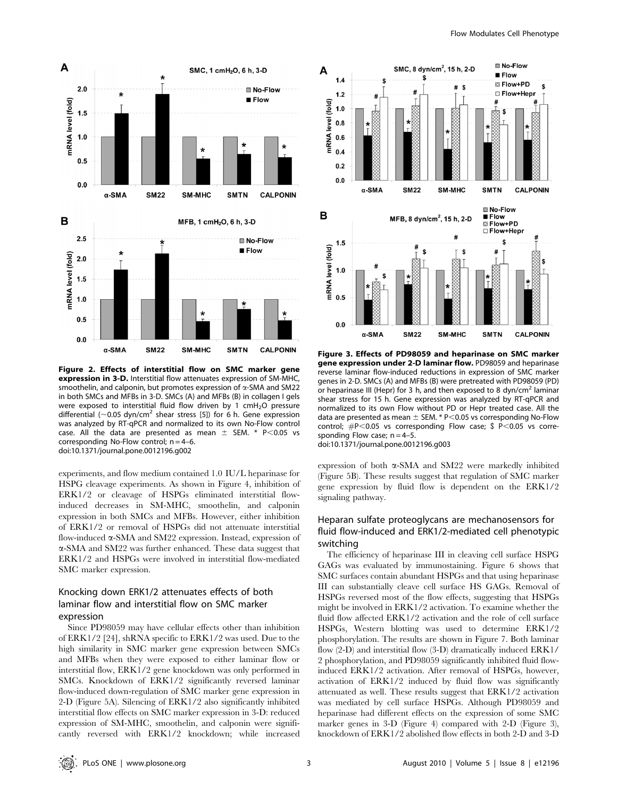

Figure 2. Effects of interstitial flow on SMC marker gene expression in 3-D. Interstitial flow attenuates expression of SM-MHC, smoothelin, and calponin, but promotes expression of  $\alpha$ -SMA and SM22 in both SMCs and MFBs in 3-D. SMCs (A) and MFBs (B) in collagen I gels were exposed to interstitial fluid flow driven by 1 cmH<sub>2</sub>O pressure differential ( $\sim$ 0.05 dyn/cm<sup>2</sup> shear stress [5]) for 6 h. Gene expression was analyzed by RT-qPCR and normalized to its own No-Flow control case. All the data are presented as mean  $\pm$  SEM. \* P<0.05 vs corresponding No-Flow control;  $n = 4-6$ . doi:10.1371/journal.pone.0012196.g002

experiments, and flow medium contained 1.0 IU/L heparinase for HSPG cleavage experiments. As shown in Figure 4, inhibition of ERK1/2 or cleavage of HSPGs eliminated interstitial flowinduced decreases in SM-MHC, smoothelin, and calponin expression in both SMCs and MFBs. However, either inhibition of ERK1/2 or removal of HSPGs did not attenuate interstitial flow-induced a-SMA and SM22 expression. Instead, expression of a-SMA and SM22 was further enhanced. These data suggest that ERK1/2 and HSPGs were involved in interstitial flow-mediated SMC marker expression.

# Knocking down ERK1/2 attenuates effects of both laminar flow and interstitial flow on SMC marker expression

Since PD98059 may have cellular effects other than inhibition of ERK1/2 [24], shRNA specific to ERK1/2 was used. Due to the high similarity in SMC marker gene expression between SMCs and MFBs when they were exposed to either laminar flow or interstitial flow, ERK1/2 gene knockdown was only performed in SMCs. Knockdown of ERK1/2 significantly reversed laminar flow-induced down-regulation of SMC marker gene expression in 2-D (Figure 5A). Silencing of ERK1/2 also significantly inhibited interstitial flow effects on SMC marker expression in 3-D: reduced expression of SM-MHC, smoothelin, and calponin were significantly reversed with ERK1/2 knockdown; while increased



Figure 3. Effects of PD98059 and heparinase on SMC marker gene expression under 2-D laminar flow. PD98059 and heparinase reverse laminar flow-induced reductions in expression of SMC marker genes in 2-D. SMCs (A) and MFBs (B) were pretreated with PD98059 (PD) or heparinase III (Hepr) for 3 h, and then exposed to 8 dyn/cm<sup>2</sup> laminar shear stress for 15 h. Gene expression was analyzed by RT-qPCR and normalized to its own Flow without PD or Hepr treated case. All the data are presented as mean  $\pm$  SEM. \* P $<$ 0.05 vs corresponding No-Flow control;  $\#P<0.05$  vs corresponding Flow case; \$ P $<$ 0.05 vs corresponding Flow case;  $n = 4-5$ . doi:10.1371/journal.pone.0012196.g003

expression of both a-SMA and SM22 were markedly inhibited (Figure 5B). These results suggest that regulation of SMC marker gene expression by fluid flow is dependent on the ERK1/2 signaling pathway.

# Heparan sulfate proteoglycans are mechanosensors for fluid flow-induced and ERK1/2-mediated cell phenotypic switching

The efficiency of heparinase III in cleaving cell surface HSPG GAGs was evaluated by immunostaining. Figure 6 shows that SMC surfaces contain abundant HSPGs and that using heparinase III can substantially cleave cell surface HS GAGs. Removal of HSPGs reversed most of the flow effects, suggesting that HSPGs might be involved in ERK1/2 activation. To examine whether the fluid flow affected ERK1/2 activation and the role of cell surface HSPGs, Western blotting was used to determine ERK1/2 phosphorylation. The results are shown in Figure 7. Both laminar flow (2-D) and interstitial flow (3-D) dramatically induced ERK1/ 2 phosphorylation, and PD98059 significantly inhibited fluid flowinduced ERK1/2 activation. After removal of HSPGs, however, activation of ERK1/2 induced by fluid flow was significantly attenuated as well. These results suggest that ERK1/2 activation was mediated by cell surface HSPGs. Although PD98059 and heparinase had different effects on the expression of some SMC marker genes in 3-D (Figure 4) compared with 2-D (Figure 3), knockdown of ERK1/2 abolished flow effects in both 2-D and 3-D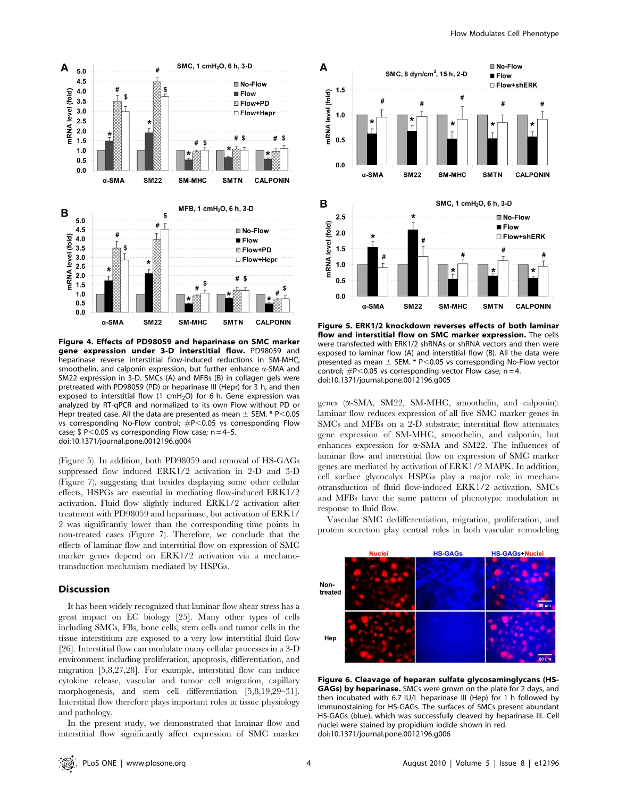

Figure 4. Effects of PD98059 and heparinase on SMC marker gene expression under 3-D interstitial flow. PD98059 and heparinase reverse interstitial flow-induced reductions in SM-MHC, smoothelin, and calponin expression, but further enhance  $\alpha$ -SMA and SM22 expression in 3-D. SMCs (A) and MFBs (B) in collagen gels were pretreated with PD98059 (PD) or heparinase III (Hepr) for 3 h, and then exposed to interstitial flow (1  $cmH<sub>2</sub>O$ ) for 6 h. Gene expression was analyzed by RT-qPCR and normalized to its own Flow without PD or Hepr treated case. All the data are presented as mean  $\pm$  SEM. \* P $<$ 0.05 vs corresponding No-Flow control;  $#P<0.05$  vs corresponding Flow case;  $$ P<0.05$  vs corresponding Flow case; n = 4-5. doi:10.1371/journal.pone.0012196.g004

(Figure 5). In addition, both PD98059 and removal of HS-GAGs suppressed flow induced ERK1/2 activation in 2-D and 3-D (Figure 7), suggesting that besides displaying some other cellular effects, HSPGs are essential in mediating flow-induced ERK1/2 activation. Fluid flow slightly induced ERK1/2 activation after treatment with PD98059 and heparinase, but activation of ERK1/ 2 was significantly lower than the corresponding time points in non-treated cases (Figure 7). Therefore, we conclude that the effects of laminar flow and interstitial flow on expression of SMC marker genes depend on ERK1/2 activation via a mechanotransduction mechanism mediated by HSPGs.

#### Discussion

It has been widely recognized that laminar flow shear stress has a great impact on EC biology [25]. Many other types of cells including SMCs, FBs, bone cells, stem cells and tumor cells in the tissue interstitium are exposed to a very low interstitial fluid flow [26]. Interstitial flow can modulate many cellular processes in a 3-D environment including proliferation, apoptosis, differentiation, and migration [5,8,27,28]. For example, interstitial flow can induce cytokine release, vascular and tumor cell migration, capillary morphogenesis, and stem cell differentiation [5,8,19,29–31]. Interstitial flow therefore plays important roles in tissue physiology and pathology.

In the present study, we demonstrated that laminar flow and interstitial flow significantly affect expression of SMC marker



Figure 5. ERK1/2 knockdown reverses effects of both laminar flow and interstitial flow on SMC marker expression. The cells were transfected with ERK1/2 shRNAs or shRNA vectors and then were exposed to laminar flow (A) and interstitial flow (B). All the data were presented as mean  $\pm$  SEM. \* P<0.05 vs corresponding No-Flow vector control;  $\#P$ <0.05 vs corresponding vector Flow case; n = 4. doi:10.1371/journal.pone.0012196.g005

genes (a-SMA, SM22, SM-MHC, smoothelin, and calponin): laminar flow reduces expression of all five SMC marker genes in SMCs and MFBs on a 2-D substrate; interstitial flow attenuates gene expression of SM-MHC, smoothelin, and calponin, but enhances expression for  $\alpha$ -SMA and SM22. The influences of laminar flow and interstitial flow on expression of SMC marker genes are mediated by activation of ERK1/2 MAPK. In addition, cell surface glycocalyx HSPGs play a major role in mechanotransduction of fluid flow-induced ERK1/2 activation. SMCs and MFBs have the same pattern of phenotypic modulation in response to fluid flow.

Vascular SMC dedifferentiation, migration, proliferation, and protein secretion play central roles in both vascular remodeling



Figure 6. Cleavage of heparan sulfate glycosaminglycans (HS-**GAGs) by heparinase.** SMCs were grown on the plate for 2 days, and then incubated with 6.7 IU/L heparinase III (Hep) for 1 h followed by immunostaining for HS-GAGs. The surfaces of SMCs present abundant HS-GAGs (blue), which was successfully cleaved by heparinase III. Cell nuclei were stained by propidium iodide shown in red. doi:10.1371/journal.pone.0012196.g006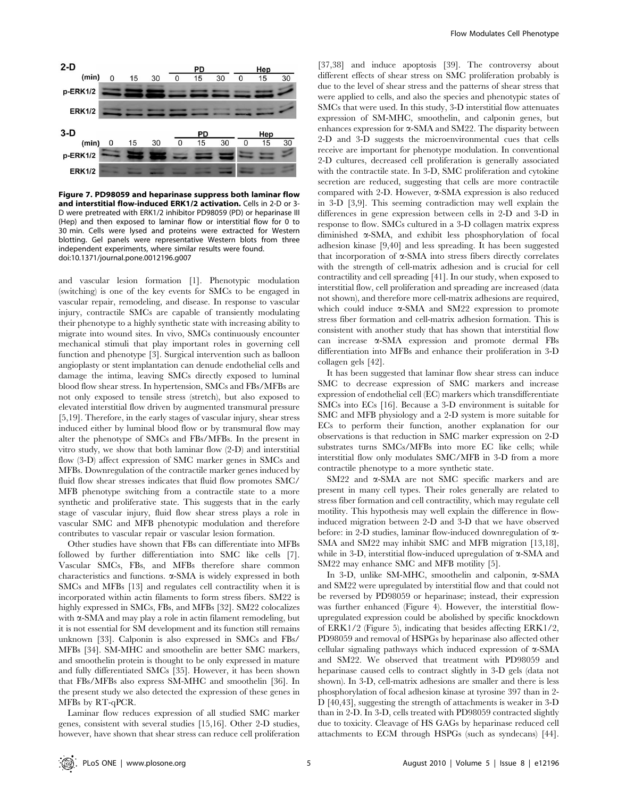

Figure 7. PD98059 and heparinase suppress both laminar flow and interstitial flow-induced ERK1/2 activation. Cells in 2-D or 3- D were pretreated with ERK1/2 inhibitor PD98059 (PD) or heparinase III (Hep) and then exposed to laminar flow or interstitial flow for 0 to 30 min. Cells were lysed and proteins were extracted for Western blotting. Gel panels were representative Western blots from three independent experiments, where similar results were found. doi:10.1371/journal.pone.0012196.g007

and vascular lesion formation [1]. Phenotypic modulation (switching) is one of the key events for SMCs to be engaged in vascular repair, remodeling, and disease. In response to vascular injury, contractile SMCs are capable of transiently modulating their phenotype to a highly synthetic state with increasing ability to migrate into wound sites. In vivo, SMCs continuously encounter mechanical stimuli that play important roles in governing cell function and phenotype [3]. Surgical intervention such as balloon angioplasty or stent implantation can denude endothelial cells and damage the intima, leaving SMCs directly exposed to luminal blood flow shear stress. In hypertension, SMCs and FBs/MFBs are not only exposed to tensile stress (stretch), but also exposed to elevated interstitial flow driven by augmented transmural pressure [5,19]. Therefore, in the early stages of vascular injury, shear stress induced either by luminal blood flow or by transmural flow may alter the phenotype of SMCs and FBs/MFBs. In the present in vitro study, we show that both laminar flow (2-D) and interstitial flow (3-D) affect expression of SMC marker genes in SMCs and MFBs. Downregulation of the contractile marker genes induced by fluid flow shear stresses indicates that fluid flow promotes SMC/ MFB phenotype switching from a contractile state to a more synthetic and proliferative state. This suggests that in the early stage of vascular injury, fluid flow shear stress plays a role in vascular SMC and MFB phenotypic modulation and therefore contributes to vascular repair or vascular lesion formation.

Other studies have shown that FBs can differentiate into MFBs followed by further differentiation into SMC like cells [7]. Vascular SMCs, FBs, and MFBs therefore share common characteristics and functions.  $\alpha$ -SMA is widely expressed in both SMCs and MFBs [13] and regulates cell contractility when it is incorporated within actin filaments to form stress fibers. SM22 is highly expressed in SMCs, FBs, and MFBs [32]. SM22 colocalizes with  $\alpha$ -SMA and may play a role in actin filament remodeling, but it is not essential for SM development and its function still remains unknown [33]. Calponin is also expressed in SMCs and FBs/ MFBs [34]. SM-MHC and smoothelin are better SMC markers, and smoothelin protein is thought to be only expressed in mature and fully differentiated SMCs [35]. However, it has been shown that FBs/MFBs also express SM-MHC and smoothelin [36]. In the present study we also detected the expression of these genes in MFBs by RT-qPCR.

Laminar flow reduces expression of all studied SMC marker genes, consistent with several studies [15,16]. Other 2-D studies, however, have shown that shear stress can reduce cell proliferation

[37,38] and induce apoptosis [39]. The controversy about different effects of shear stress on SMC proliferation probably is due to the level of shear stress and the patterns of shear stress that were applied to cells, and also the species and phenotypic states of SMCs that were used. In this study, 3-D interstitial flow attenuates expression of SM-MHC, smoothelin, and calponin genes, but enhances expression for  $\alpha$ -SMA and SM22. The disparity between 2-D and 3-D suggests the microenvironmental cues that cells receive are important for phenotype modulation. In conventional 2-D cultures, decreased cell proliferation is generally associated with the contractile state. In 3-D, SMC proliferation and cytokine secretion are reduced, suggesting that cells are more contractile compared with 2-D. However,  $\alpha$ -SMA expression is also reduced in 3-D [3,9]. This seeming contradiction may well explain the differences in gene expression between cells in 2-D and 3-D in response to flow. SMCs cultured in a 3-D collagen matrix express diminished a-SMA, and exhibit less phosphorylation of focal adhesion kinase [9,40] and less spreading. It has been suggested that incorporation of  $\alpha$ -SMA into stress fibers directly correlates with the strength of cell-matrix adhesion and is crucial for cell contractility and cell spreading [41]. In our study, when exposed to interstitial flow, cell proliferation and spreading are increased (data not shown), and therefore more cell-matrix adhesions are required, which could induce  $\alpha$ -SMA and SM22 expression to promote stress fiber formation and cell-matrix adhesion formation. This is consistent with another study that has shown that interstitial flow can increase a-SMA expression and promote dermal FBs differentiation into MFBs and enhance their proliferation in 3-D collagen gels [42].

It has been suggested that laminar flow shear stress can induce SMC to decrease expression of SMC markers and increase expression of endothelial cell (EC) markers which transdifferentiate SMCs into ECs [16]. Because a 3-D environment is suitable for SMC and MFB physiology and a 2-D system is more suitable for ECs to perform their function, another explanation for our observations is that reduction in SMC marker expression on 2-D substrates turns SMCs/MFBs into more EC like cells; while interstitial flow only modulates SMC/MFB in 3-D from a more contractile phenotype to a more synthetic state.

SM22 and  $\alpha$ -SMA are not SMC specific markers and are present in many cell types. Their roles generally are related to stress fiber formation and cell contractility, which may regulate cell motility. This hypothesis may well explain the difference in flowinduced migration between 2-D and 3-D that we have observed before: in 2-D studies, laminar flow-induced downregulation of  $\alpha$ -SMA and SM22 may inhibit SMC and MFB migration [13,18], while in 3-D, interstitial flow-induced upregulation of  $\alpha$ -SMA and SM22 may enhance SMC and MFB motility [5].

In 3-D, unlike SM-MHC, smoothelin and calponin, a-SMA and SM22 were upregulated by interstitial flow and that could not be reversed by PD98059 or heparinase; instead, their expression was further enhanced (Figure 4). However, the interstitial flowupregulated expression could be abolished by specific knockdown of ERK1/2 (Figure 5), indicating that besides affecting ERK1/2, PD98059 and removal of HSPGs by heparinase also affected other cellular signaling pathways which induced expression of  $\alpha$ -SMA and SM22. We observed that treatment with PD98059 and heparinase caused cells to contract slightly in 3-D gels (data not shown). In 3-D, cell-matrix adhesions are smaller and there is less phosphorylation of focal adhesion kinase at tyrosine 397 than in 2- D [40,43], suggesting the strength of attachments is weaker in 3-D than in 2-D. In 3-D, cells treated with PD98059 contracted slightly due to toxicity. Cleavage of HS GAGs by heparinase reduced cell attachments to ECM through HSPGs (such as syndecans) [44].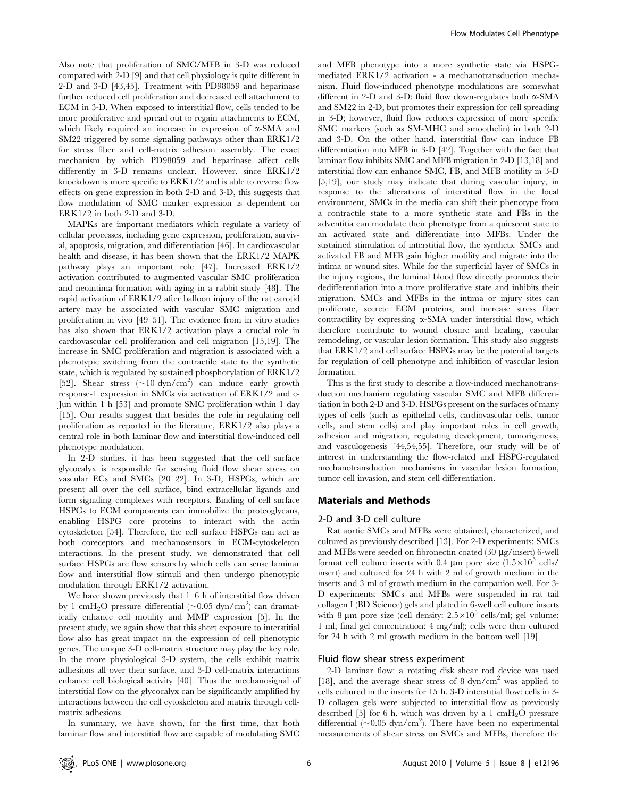Also note that proliferation of SMC/MFB in 3-D was reduced compared with 2-D [9] and that cell physiology is quite different in 2-D and 3-D [43,45]. Treatment with PD98059 and heparinase further reduced cell proliferation and decreased cell attachment to ECM in 3-D. When exposed to interstitial flow, cells tended to be more proliferative and spread out to regain attachments to ECM, which likely required an increase in expression of  $\alpha$ -SMA and SM22 triggered by some signaling pathways other than ERK1/2 for stress fiber and cell-matrix adhesion assembly. The exact mechanism by which PD98059 and heparinase affect cells differently in 3-D remains unclear. However, since ERK1/2 knockdown is more specific to ERK1/2 and is able to reverse flow effects on gene expression in both 2-D and 3-D, this suggests that flow modulation of SMC marker expression is dependent on ERK1/2 in both 2-D and 3-D.

MAPKs are important mediators which regulate a variety of cellular processes, including gene expression, proliferation, survival, apoptosis, migration, and differentiation [46]. In cardiovascular health and disease, it has been shown that the ERK1/2 MAPK pathway plays an important role [47]. Increased ERK1/2 activation contributed to augmented vascular SMC proliferation and neointima formation with aging in a rabbit study [48]. The rapid activation of ERK1/2 after balloon injury of the rat carotid artery may be associated with vascular SMC migration and proliferation in vivo [49–51]. The evidence from in vitro studies has also shown that ERK1/2 activation plays a crucial role in cardiovascular cell proliferation and cell migration [15,19]. The increase in SMC proliferation and migration is associated with a phenotypic switching from the contractile state to the synthetic state, which is regulated by sustained phosphorylation of ERK1/2 [52]. Shear stress  $(\sim 10 \text{ dyn/cm}^2)$  can induce early growth response-1 expression in SMCs via activation of ERK1/2 and c-Jun within 1 h [53] and promote SMC proliferation wthin 1 day [15]. Our results suggest that besides the role in regulating cell proliferation as reported in the literature, ERK1/2 also plays a central role in both laminar flow and interstitial flow-induced cell phenotype modulation.

In 2-D studies, it has been suggested that the cell surface glycocalyx is responsible for sensing fluid flow shear stress on vascular ECs and SMCs [20–22]. In 3-D, HSPGs, which are present all over the cell surface, bind extracellular ligands and form signaling complexes with receptors. Binding of cell surface HSPGs to ECM components can immobilize the proteoglycans, enabling HSPG core proteins to interact with the actin cytoskeleton [54]. Therefore, the cell surface HSPGs can act as both coreceptors and mechanosensors in ECM-cytoskeleton interactions. In the present study, we demonstrated that cell surface HSPGs are flow sensors by which cells can sense laminar flow and interstitial flow stimuli and then undergo phenotypic modulation through ERK1/2 activation.

We have shown previously that 1–6 h of interstitial flow driven by 1 cmH<sub>2</sub>O pressure differential (~0.05 dyn/cm<sup>2</sup>) can dramatically enhance cell motility and MMP expression [5]. In the present study, we again show that this short exposure to interstitial flow also has great impact on the expression of cell phenotypic genes. The unique 3-D cell-matrix structure may play the key role. In the more physiological 3-D system, the cells exhibit matrix adhesions all over their surface, and 3-D cell-matrix interactions enhance cell biological activity [40]. Thus the mechanosignal of interstitial flow on the glycocalyx can be significantly amplified by interactions between the cell cytoskeleton and matrix through cellmatrix adhesions.

In summary, we have shown, for the first time, that both laminar flow and interstitial flow are capable of modulating SMC

and MFB phenotype into a more synthetic state via HSPGmediated ERK1/2 activation - a mechanotransduction mechanism. Fluid flow-induced phenotype modulations are somewhat different in 2-D and 3-D: fluid flow down-regulates both  $\alpha$ -SMA and SM22 in 2-D, but promotes their expression for cell spreading in 3-D; however, fluid flow reduces expression of more specific SMC markers (such as SM-MHC and smoothelin) in both 2-D and 3-D. On the other hand, interstitial flow can induce FB differentiation into MFB in 3-D [42]. Together with the fact that laminar flow inhibits SMC and MFB migration in 2-D [13,18] and interstitial flow can enhance SMC, FB, and MFB motility in 3-D [5,19], our study may indicate that during vascular injury, in response to the alterations of interstitial flow in the local environment, SMCs in the media can shift their phenotype from a contractile state to a more synthetic state and FBs in the adventitia can modulate their phenotype from a quiescent state to an activated state and differentiate into MFBs. Under the sustained stimulation of interstitial flow, the synthetic SMCs and activated FB and MFB gain higher motility and migrate into the intima or wound sites. While for the superficial layer of SMCs in the injury regions, the luminal blood flow directly promotes their dedifferentiation into a more proliferative state and inhibits their migration. SMCs and MFBs in the intima or injury sites can proliferate, secrete ECM proteins, and increase stress fiber contractility by expressing  $\alpha$ -SMA under interstitial flow, which therefore contribute to wound closure and healing, vascular remodeling, or vascular lesion formation. This study also suggests that ERK1/2 and cell surface HSPGs may be the potential targets for regulation of cell phenotype and inhibition of vascular lesion formation.

This is the first study to describe a flow-induced mechanotransduction mechanism regulating vascular SMC and MFB differentiation in both 2-D and 3-D. HSPGs present on the surfaces of many types of cells (such as epithelial cells, cardiovascular cells, tumor cells, and stem cells) and play important roles in cell growth, adhesion and migration, regulating development, tumorigenesis, and vasculogenesis [44,54,55]. Therefore, our study will be of interest in understanding the flow-related and HSPG-regulated mechanotransduction mechanisms in vascular lesion formation, tumor cell invasion, and stem cell differentiation.

#### Materials and Methods

#### 2-D and 3-D cell culture

Rat aortic SMCs and MFBs were obtained, characterized, and cultured as previously described [13]. For 2-D experiments: SMCs and MFBs were seeded on fibronectin coated (30 mg/insert) 6-well format cell culture inserts with 0.4  $\mu$ m pore size (1.5×10<sup>5</sup> cells/ insert) and cultured for 24 h with 2 ml of growth medium in the inserts and 3 ml of growth medium in the companion well. For 3- D experiments: SMCs and MFBs were suspended in rat tail collagen I (BD Science) gels and plated in 6-well cell culture inserts with 8 µm pore size (cell density:  $2.5 \times 10^5$  cells/ml; gel volume: 1 ml; final gel concentration: 4 mg/ml); cells were then cultured for 24 h with 2 ml growth medium in the bottom well [19].

#### Fluid flow shear stress experiment

2-D laminar flow: a rotating disk shear rod device was used [18], and the average shear stress of 8  $dyn/cm<sup>2</sup>$  was applied to cells cultured in the inserts for 15 h. 3-D interstitial flow: cells in 3- D collagen gels were subjected to interstitial flow as previously described [5] for 6 h, which was driven by a 1 cmH<sub>2</sub>O pressure differential  $(\sim 0.05 \text{ dyn/cm}^2)$ . There have been no experimental measurements of shear stress on SMCs and MFBs, therefore the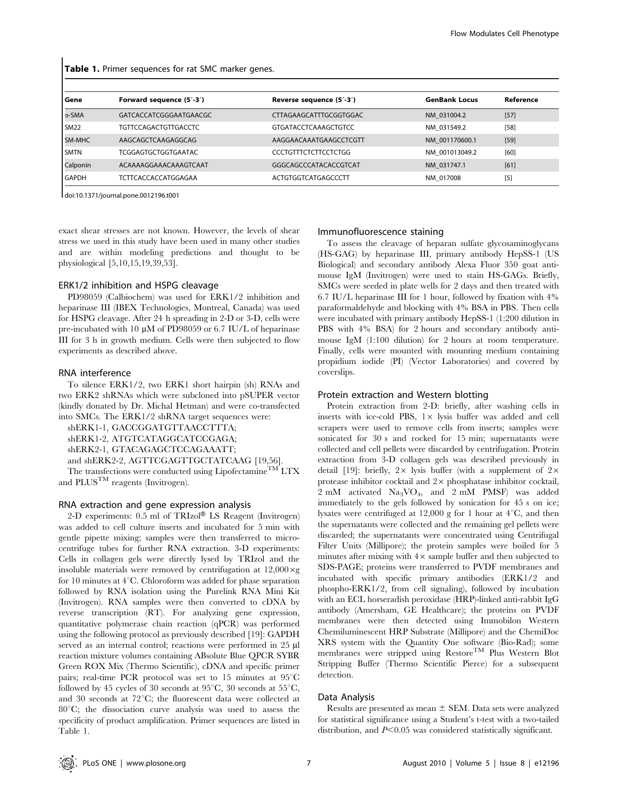| Gene             | Forward sequence (5'-3')    | Reverse sequence (5'-3')    | <b>GenBank Locus</b> | Reference |
|------------------|-----------------------------|-----------------------------|----------------------|-----------|
| $\alpha$ -SMA    | GATCACCATCGGGAATGAACGC      | CTTAGAAGCATTTGCGGTGGAC      | NM 031004.2          | $[57]$    |
| SM <sub>22</sub> | <b>TGTTCCAGACTGTTGACCTC</b> | <b>GTGATACCTCAAAGCTGTCC</b> | NM 031549.2          | $[58]$    |
| SM-MHC           | AAGCAGCTCAAGAGGCAG          | AAGGAACAAATGAAGCCTCGTT      | NM 001170600.1       | $[59]$    |
| <b>SMTN</b>      | <b>TCGGAGTGCTGGTGAATAC</b>  | <b>CCCTGTTTCTCTTCCTCTGG</b> | NM 001013049.2       | [60]      |
| Calponin         | ACAAAAGGAAACAAAGTCAAT       | GGGCAGCCCATACACCGTCAT       | NM 031747.1          | [61]      |
| <b>GAPDH</b>     | TCTTCACCACCATGGAGAA         | ACTGTGGTCATGAGCCCTT         | NM 017008            | $[5]$     |
|                  |                             |                             |                      |           |

Table 1. Primer sequences for rat SMC marker genes.

doi:10.1371/journal.pone.0012196.t001

exact shear stresses are not known. However, the levels of shear stress we used in this study have been used in many other studies and are within modeling predictions and thought to be physiological [5,10,15,19,39,53].

#### ERK1/2 inhibition and HSPG cleavage

PD98059 (Calbiochem) was used for ERK1/2 inhibition and heparinase III (IBEX Technologies, Montreal, Canada) was used for HSPG cleavage. After 24 h spreading in 2-D or 3-D, cells were pre-incubated with 10  $\mu$ M of PD98059 or 6.7 IU/L of heparinase III for 3 h in growth medium. Cells were then subjected to flow experiments as described above.

#### RNA interference

To silence ERK1/2, two ERK1 short hairpin (sh) RNAs and two ERK2 shRNAs which were subcloned into pSUPER vector (kindly donated by Dr. Michal Hetman) and were co-transfected into SMCs. The ERK1/2 shRNA target sequences were:

shERK1-1, GACCGGATGTTAACCTTTA;

shERK1-2, ATGTCATAGGCATCCGAGA;

shERK2-1, GTACAGAGCTCCAGAAATT;

and shERK2-2, AGTTCGAGTTGCTATCAAG [19,56].

The transfections were conducted using Lipofectamine<sup>TM</sup> LTX and  $\text{PLUS}^{\text{TM}}$  reagents (Invitrogen).

#### RNA extraction and gene expression analysis

2-D experiments:  $0.5$  ml of TRIzol® LS Reagent (Invitrogen) was added to cell culture inserts and incubated for 5 min with gentle pipette mixing; samples were then transferred to microcentrifuge tubes for further RNA extraction. 3-D experiments: Cells in collagen gels were directly lysed by TRIzol and the insoluble materials were removed by centrifugation at  $12,000 \times g$ for 10 minutes at  $4^{\circ}$ C. Chloroform was added for phase separation followed by RNA isolation using the Purelink RNA Mini Kit (Invitrogen). RNA samples were then converted to cDNA by reverse transcription (RT). For analyzing gene expression, quantitative polymerase chain reaction (qPCR) was performed using the following protocol as previously described [19]: GAPDH served as an internal control; reactions were performed in 25  $\mu$ l reaction mixture volumes containing ABsolute Blue QPCR SYBR Green ROX Mix (Thermo Scientific), cDNA and specific primer pairs; real-time PCR protocol was set to 15 minutes at  $95^{\circ}$ C followed by 45 cycles of 30 seconds at  $95^{\circ}$ C, 30 seconds at  $55^{\circ}$ C, and 30 seconds at  $72^{\circ}$ C; the fluorescent data were collected at  $80^{\circ}$ C; the dissociation curve analysis was used to assess the specificity of product amplification. Primer sequences are listed in Table 1.

#### Immunofluorescence staining

To assess the cleavage of heparan sulfate glycosaminoglycans (HS-GAG) by heparinase III, primary antibody HepSS-1 (US Biological) and secondary antibody Alexa Fluor 350 goat antimouse IgM (Invitrogen) were used to stain HS-GAGs. Briefly, SMCs were seeded in plate wells for 2 days and then treated with 6.7 IU/L heparinase III for 1 hour, followed by fixation with 4% paraformaldehyde and blocking with 4% BSA in PBS. Then cells were incubated with primary antibody HepSS-1 (1:200 dilution in PBS with 4% BSA) for 2 hours and secondary antibody antimouse IgM (1:100 dilution) for 2 hours at room temperature. Finally, cells were mounted with mounting medium containing propidium iodide (PI) (Vector Laboratories) and covered by coverslips.

#### Protein extraction and Western blotting

Protein extraction from 2-D: briefly, after washing cells in inserts with ice-cold PBS,  $1 \times$  lysis buffer was added and cell scrapers were used to remove cells from inserts; samples were sonicated for 30 s and rocked for 15 min; supernatants were collected and cell pellets were discarded by centrifugation. Protein extraction from 3-D collagen gels was described previously in detail [19]: briefly,  $2 \times$  lysis buffer (with a supplement of  $2 \times$ protease inhibitor cocktail and  $2 \times$  phosphatase inhibitor cocktail, 2 mM activated Na3VO4, and 2 mM PMSF) was added immediately to the gels followed by sonication for 45 s on ice; lysates were centrifuged at 12,000 g for 1 hour at  $4^{\circ}C$ , and then the supernatants were collected and the remaining gel pellets were discarded; the supernatants were concentrated using Centrifugal Filter Units (Millipore); the protein samples were boiled for 5 minutes after mixing with  $4 \times$  sample buffer and then subjected to SDS-PAGE; proteins were transferred to PVDF membranes and incubated with specific primary antibodies (ERK1/2 and phospho-ERK1/2, from cell signaling), followed by incubation with an ECL horseradish peroxidase (HRP)-linked anti-rabbit IgG antibody (Amersham, GE Healthcare); the proteins on PVDF membranes were then detected using Immobilon Western Chemiluminescent HRP Substrate (Millipore) and the ChemiDoc XRS system with the Quantity One software (Bio-Rad); some membranes were stripped using Restore<sup>TM</sup> Plus Western Blot Stripping Buffer (Thermo Scientific Pierce) for a subsequent detection.

#### Data Analysis

Results are presented as mean  $\pm$  SEM. Data sets were analyzed for statistical significance using a Student's t-test with a two-tailed distribution, and  $P<0.05$  was considered statistically significant.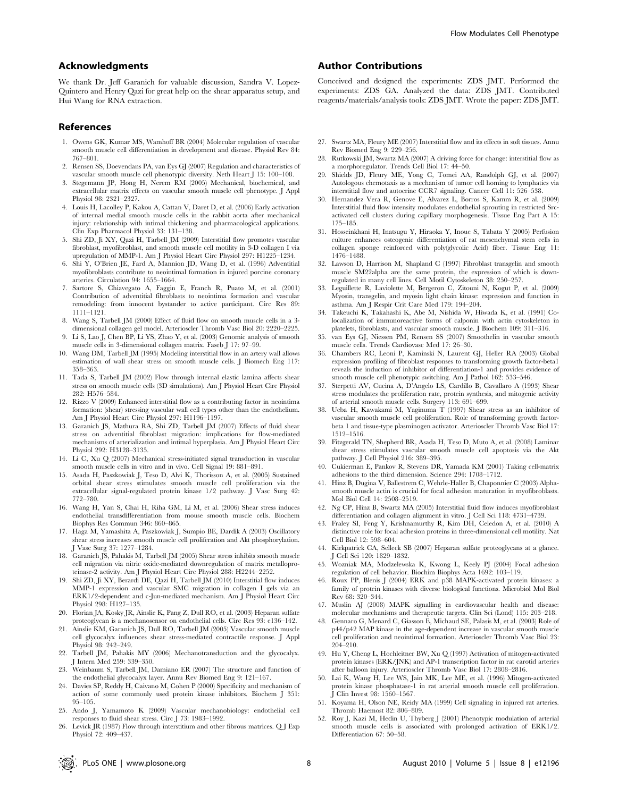#### Acknowledgments

We thank Dr. Jeff Garanich for valuable discussion, Sandra V. Lopez-Quintero and Henry Qazi for great help on the shear apparatus setup, and Hui Wang for RNA extraction.

#### References

- 1. Owens GK, Kumar MS, Wamhoff BR (2004) Molecular regulation of vascular smooth muscle cell differentiation in development and disease. Physiol Rev 84: 767–801.
- 2. Rensen SS, Doevendans PA, van Eys GJ (2007) Regulation and characteristics of vascular smooth muscle cell phenotypic diversity. Neth Heart J 15: 100–108.
- 3. Stegemann JP, Hong H, Nerem RM (2005) Mechanical, biochemical, and extracellular matrix effects on vascular smooth muscle cell phenotype. J Appl Physiol 98: 2321–2327.
- 4. Louis H, Lacolley P, Kakou A, Cattan V, Daret D, et al. (2006) Early activation of internal medial smooth muscle cells in the rabbit aorta after mechanical injury: relationship with intimal thickening and pharmacological applications. Clin Exp Pharmacol Physiol 33: 131–138.
- 5. Shi ZD, Ji XY, Qazi H, Tarbell JM (2009) Interstitial flow promotes vascular fibroblast, myofibroblast, and smooth muscle cell motility in 3-D collagen I via upregulation of MMP-1. Am J Physiol Heart Circ Physiol 297: H1225–1234.
- 6. Shi Y, O'Brien JE, Fard A, Mannion JD, Wang D, et al. (1996) Adventitial myofibroblasts contribute to neointimal formation in injured porcine coronary arteries. Circulation 94: 1655–1664.
- 7. Sartore S, Chiavegato A, Faggin E, Franch R, Puato M, et al. (2001) Contribution of adventitial fibroblasts to neointima formation and vascular remodeling: from innocent bystander to active participant. Circ Res 89: 1111–1121.
- 8. Wang S, Tarbell JM (2000) Effect of fluid flow on smooth muscle cells in a 3 dimensional collagen gel model. Arterioscler Thromb Vasc Biol 20: 2220–2225.
- 9. Li S, Lao J, Chen BP, Li YS, Zhao Y, et al. (2003) Genomic analysis of smooth muscle cells in 3-dimensional collagen matrix. Faseb J 17: 97–99.
- 10. Wang DM, Tarbell JM (1995) Modeling interstitial flow in an artery wall allows estimation of wall shear stress on smooth muscle cells. J Biomech Eng 117: 358–363.
- 11. Tada S, Tarbell JM (2002) Flow through internal elastic lamina affects shear stress on smooth muscle cells (3D simulations). Am J Physiol Heart Circ Physiol 282: H576–584.
- 12. Rizzo V (2009) Enhanced interstitial flow as a contributing factor in neointima formation: (shear) stressing vascular wall cell types other than the endothelium. Am J Physiol Heart Circ Physiol 297: H1196–1197.
- 13. Garanich JS, Mathura RA, Shi ZD, Tarbell JM (2007) Effects of fluid shear stress on adventitial fibroblast migration: implications for flow-mediated mechanisms of arterialization and intimal hyperplasia. Am J Physiol Heart Circ Physiol 292: H3128–3135.
- 14. Li C, Xu Q (2007) Mechanical stress-initiated signal transduction in vascular smooth muscle cells in vitro and in vivo. Cell Signal 19: 881–891.
- 15. Asada H, Paszkowiak J, Teso D, Alvi K, Thorisson A, et al. (2005) Sustained orbital shear stress stimulates smooth muscle cell proliferation via the extracellular signal-regulated protein kinase 1/2 pathway. J Vasc Surg 42: 772–780.
- 16. Wang H, Yan S, Chai H, Riha GM, Li M, et al. (2006) Shear stress induces endothelial transdifferentiation from mouse smooth muscle cells. Biochem Biophys Res Commun 346: 860–865.
- 17. Haga M, Yamashita A, Paszkowiak J, Sumpio BE, Dardik A (2003) Oscillatory shear stress increases smooth muscle cell proliferation and Akt phosphorylation. J Vasc Surg 37: 1277–1284.
- 18. Garanich JS, Pahakis M, Tarbell JM (2005) Shear stress inhibits smooth muscle cell migration via nitric oxide-mediated downregulation of matrix metalloproteinase-2 activity. Am J Physiol Heart Circ Physiol 288: H2244–2252.
- 19. Shi ZD, Ji XY, Berardi DE, Qazi H, Tarbell JM (2010) Interstitial flow induces MMP-1 expression and vascular SMC migration in collagen I gels via an ERK1/2-dependent and c-Jun-mediated mechanism. Am J Physiol Heart Circ Physiol 298: H127–135.
- 20. Florian JA, Kosky JR, Ainslie K, Pang Z, Dull RO, et al. (2003) Heparan sulfate proteoglycan is a mechanosensor on endothelial cells. Circ Res 93: e136–142.
- 21. Ainslie KM, Garanich JS, Dull RO, Tarbell JM (2005) Vascular smooth muscle cell glycocalyx influences shear stress-mediated contractile response. J Appl Physiol 98: 242–249.
- 22. Tarbell JM, Pahakis MY (2006) Mechanotransduction and the glycocalyx. J Intern Med 259: 339–350.
- 23. Weinbaum S, Tarbell JM, Damiano ER (2007) The structure and function of the endothelial glycocalyx layer. Annu Rev Biomed Eng 9: 121–167.
- 24. Davies SP, Reddy H, Caivano M, Cohen P (2000) Specificity and mechanism of action of some commonly used protein kinase inhibitors. Biochem J 351: 95–105.
- 25. Ando J, Yamamoto K (2009) Vascular mechanobiology: endothelial cell responses to fluid shear stress. Circ J 73: 1983–1992.
- 26. Levick JR (1987) Flow through interstitium and other fibrous matrices. Q J Exp Physiol 72: 409–437.

#### Author Contributions

Conceived and designed the experiments: ZDS JMT. Performed the experiments: ZDS GA. Analyzed the data: ZDS JMT. Contributed reagents/materials/analysis tools: ZDS JMT. Wrote the paper: ZDS JMT.

- 27. Swartz MA, Fleury ME (2007) Interstitial flow and its effects in soft tissues. Annu Rev Biomed Eng 9: 229–256.
- 28. Rutkowski JM, Swartz MA (2007) A driving force for change: interstitial flow as a morphoregulator. Trends Cell Biol 17: 44–50.
- 29. Shields JD, Fleury ME, Yong C, Tomei AA, Randolph GJ, et al. (2007) Autologous chemotaxis as a mechanism of tumor cell homing to lymphatics via interstitial flow and autocrine CCR7 signaling. Cancer Cell 11: 526–538.
- 30. Hernandez Vera R, Genove E, Alvarez L, Borros S, Kamm R, et al. (2009) Interstitial fluid flow intensity modulates endothelial sprouting in restricted Srcactivated cell clusters during capillary morphogenesis. Tissue Eng Part A 15: 175–185.
- 31. Hosseinkhani H, Inatsugu Y, Hiraoka Y, Inoue S, Tabata Y (2005) Perfusion culture enhances osteogenic differentiation of rat mesenchymal stem cells in collagen sponge reinforced with poly(glycolic Acid) fiber. Tissue Eng 11: 1476–1488.
- 32. Lawson D, Harrison M, Shapland C (1997) Fibroblast transgelin and smooth muscle SM22alpha are the same protein, the expression of which is downregulated in many cell lines. Cell Motil Cytoskeleton 38: 250–257.
- 33. Leguillette R, Laviolette M, Bergeron C, Zitouni N, Kogut P, et al. (2009) Myosin, transgelin, and myosin light chain kinase: expression and function in asthma. Am J Respir Crit Care Med 179: 194–204.
- 34. Takeuchi K, Takahashi K, Abe M, Nishida W, Hiwada K, et al. (1991) Colocalization of immunoreactive forms of calponin with actin cytoskeleton in platelets, fibroblasts, and vascular smooth muscle. J Biochem 109: 311–316.
- 35. van Eys GJ, Niessen PM, Rensen SS (2007) Smoothelin in vascular smooth muscle cells. Trends Cardiovasc Med 17: 26–30.
- 36. Chambers RC, Leoni P, Kaminski N, Laurent GJ, Heller RA (2003) Global expression profiling of fibroblast responses to transforming growth factor-beta1 reveals the induction of inhibitor of differentiation-1 and provides evidence of smooth muscle cell phenotypic switching. Am J Pathol 162: 533–546.
- 37. Sterpetti AV, Cucina A, D'Angelo LS, Cardillo B, Cavallaro A (1993) Shear stress modulates the proliferation rate, protein synthesis, and mitogenic activity of arterial smooth muscle cells. Surgery 113: 691–699.
- 38. Ueba H, Kawakami M, Yaginuma T (1997) Shear stress as an inhibitor of vascular smooth muscle cell proliferation. Role of transforming growth factorbeta 1 and tissue-type plasminogen activator. Arterioscler Thromb Vasc Biol 17: 1512–1516.
- 39. Fitzgerald TN, Shepherd BR, Asada H, Teso D, Muto A, et al. (2008) Laminar shear stress stimulates vascular smooth muscle cell apoptosis via the Akt pathway. J Cell Physiol 216: 389–395.
- 40. Cukierman E, Pankov R, Stevens DR, Yamada KM (2001) Taking cell-matrix adhesions to the third dimension. Science 294: 1708–1712.
- 41. Hinz B, Dugina V, Ballestrem C, Wehrle-Haller B, Chaponnier C (2003) Alphasmooth muscle actin is crucial for focal adhesion maturation in myofibroblasts. Mol Biol Cell 14: 2508–2519.
- 42. Ng CP, Hinz B, Swartz MA (2005) Interstitial fluid flow induces myofibroblast differentiation and collagen alignment in vitro. J Cell Sci 118: 4731–4739.
- 43. Fraley SI, Feng Y, Krishnamurthy R, Kim DH, Celedon A, et al. (2010) A distinctive role for focal adhesion proteins in three-dimensional cell motility. Nat Cell Biol 12: 598–604.
- 44. Kirkpatrick CA, Selleck SB (2007) Heparan sulfate proteoglycans at a glance. J Cell Sci 120: 1829–1832.
- 45. Wozniak MA, Modzelewska K, Kwong L, Keely PJ (2004) Focal adhesion regulation of cell behavior. Biochim Biophys Acta 1692: 103–119.
- 46. Roux PP, Blenis J (2004) ERK and p38 MAPK-activated protein kinases: a family of protein kinases with diverse biological functions. Microbiol Mol Biol Rev 68: 320–344.
- 47. Muslin AJ (2008) MAPK signalling in cardiovascular health and disease: molecular mechanisms and therapeutic targets. Clin Sci (Lond) 115: 203–218.
- 48. Gennaro G, Menard C, Giasson E, Michaud SE, Palasis M, et al. (2003) Role of p44/p42 MAP kinase in the age-dependent increase in vascular smooth muscle cell proliferation and neointimal formation. Arterioscler Thromb Vasc Biol 23: 204–210.
- 49. Hu Y, Cheng L, Hochleitner BW, Xu Q (1997) Activation of mitogen-activated protein kinases (ERK/JNK) and AP-1 transcription factor in rat carotid arteries after balloon injury. Arterioscler Thromb Vasc Biol 17: 2808–2816.
- 50. Lai K, Wang H, Lee WS, Jain MK, Lee ME, et al. (1996) Mitogen-activated protein kinase phosphatase-1 in rat arterial smooth muscle cell proliferation. J Clin Invest 98: 1560–1567.
- 51. Koyama H, Olson NE, Reidy MA (1999) Cell signaling in injured rat arteries. Thromb Haemost 82: 806–809.
- 52. Roy J, Kazi M, Hedin U, Thyberg J (2001) Phenotypic modulation of arterial smooth muscle cells is associated with prolonged activation of ERK1/2. Differentiation 67: 50–58.